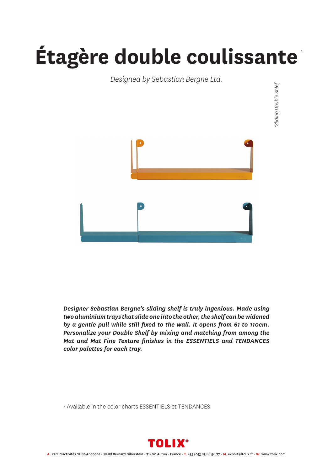## **Étagère double coulissante** *\**

*Designed by Sebastian Bergne Ltd.*

*\*Sliding Double Shlef* Sliding Double Shlef

*Designer Sebastian Bergne's sliding shelf is truly ingenious. Made using two aluminium trays that slide one into the other, the shelf can be widened by a gentle pull while still fixed to the wall. It opens from 61 to 110cm. Personalize your Double Shelf by mixing and matching from among the Mat and Mat Fine Texture finishes in the ESSENTIELS and TENDANCES color palettes for each tray.*

• Available in the color charts ESSENTIELS et TENDANCES